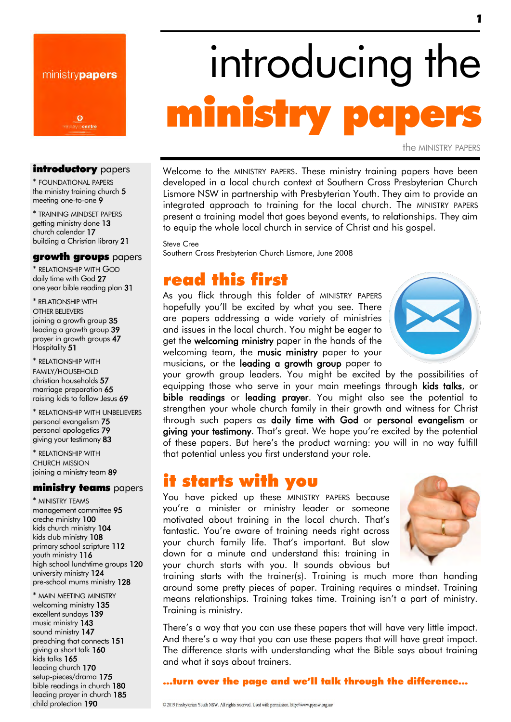

# introducing the ministry pa

the MINISTRY PAPERS

#### introductory papers

\* FOUNDATIONAL PAPERS the ministry training church 5 meeting one-to-one 9

\* TRAINING MINDSET PAPERS getting ministry done 13 church calendar 17 building a Christian library 21

#### growth groups papers

\* RELATIONSHIP WITH GOD daily time with God 27 one year bible reading plan 31

\* RELATIONSHIP WITH OTHER BELIEVERS joining a growth group 35 leading a growth group 39 prayer in growth groups 47 Hospitality 51

\* RELATIONSHIP WITH FAMILY/HOUSEHOLD christian households 57 marriage preparation 65 raising kids to follow Jesus 69

\* RELATIONSHIP WITH UNBELIEVERS personal evangelism 75 personal apologetics 79 giving your testimony 83

\* RELATIONSHIP WITH CHURCH MISSION joining a ministry team 89

#### ministry teams papers

\* MINISTRY TEAMS management committee 95 creche ministry 100 kids church ministry 104 kids club ministry 108 primary school scripture 112 youth ministry 116 high school lunchtime groups 120 university ministry 124 pre-school mums ministry 128

\* MAIN MEETING MINISTRY welcoming ministry 135 excellent sundays 139 music ministry 143 sound ministry 147 preaching that connects 151 giving a short talk 160 kids talks 165 leading church 170 setup-pieces/drama 175 bible readings in church 180 leading prayer in church 185 child protection 190

#### Welcome to the MINISTRY PAPERS. These ministry training papers have been developed in a local church context at Southern Cross Presbyterian Church Lismore NSW in partnership with Presbyterian Youth. They aim to provide an integrated approach to training for the local church. The MINISTRY PAPERS present a training model that goes beyond events, to relationships. They aim to equip the whole local church in service of Christ and his gospel.

Steve Cree Southern Cross Presbyterian Church Lismore, June 2008

### read this first

As you flick through this folder of MINISTRY PAPERS hopefully you'll be excited by what you see. There are papers addressing a wide variety of ministries and issues in the local church. You might be eager to get the welcoming ministry paper in the hands of the welcoming team, the music ministry paper to your musicians, or the leading a growth group paper to



your growth group leaders. You might be excited by the possibilities of equipping those who serve in your main meetings through kids talks, or bible readings or leading prayer. You might also see the potential to strengthen your whole church family in their growth and witness for Christ through such papers as daily time with God or personal evangelism or giving your testimony. That's great. We hope you're excited by the potential of these papers. But here's the product warning: you will in no way fulfill that potential unless you first understand your role.

### it starts with you

You have picked up these MINISTRY PAPERS because you're a minister or ministry leader or someone motivated about training in the local church. That's fantastic. You're aware of training needs right across your church family life. That's important. But slow down for a minute and understand this: training in your church starts with you. It sounds obvious but



training starts with the trainer(s). Training is much more than handing around some pretty pieces of paper. Training requires a mindset. Training means relationships. Training takes time. Training isn't a part of ministry. Training is ministry.

There's a way that you can use these papers that will have very little impact. And there's a way that you can use these papers that will have great impact. The difference starts with understanding what the Bible says about training and what it says about trainers.

#### ...turn over the page and we'll talk through the difference...